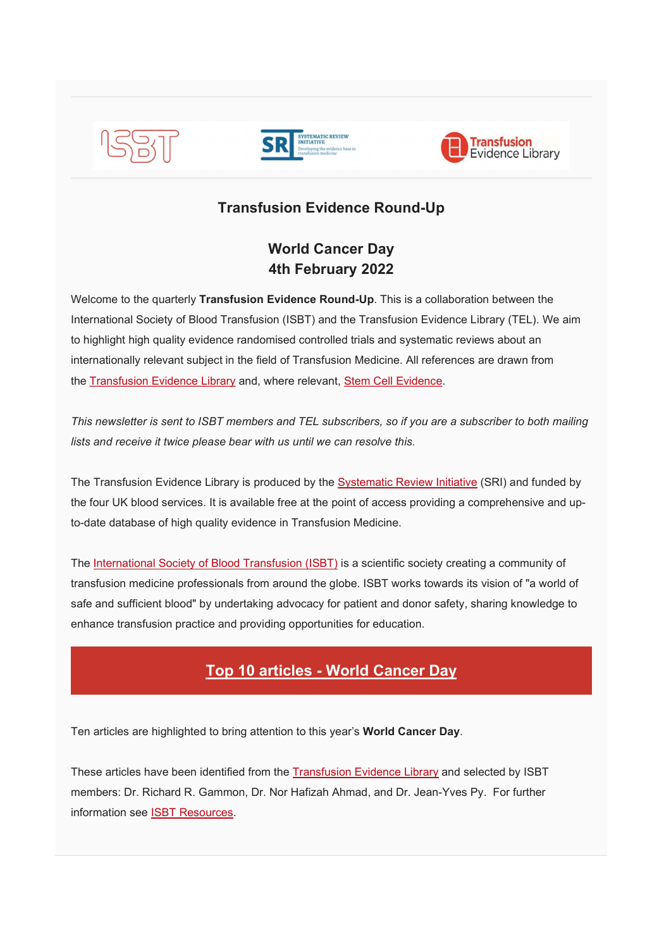





## Transfusion Evidence Round-Up

# World Cancer Day 4th February 2022

Welcome to the quarterly Transfusion Evidence Round-Up. This is a collaboration between the International Society of Blood Transfusion (ISBT) and the Transfusion Evidence Library (TEL). We aim to highlight high quality evidence randomised controlled trials and systematic reviews about an internationally relevant subject in the field of Transfusion Medicine. All references are drawn from the Transfusion Evidence Library and, where relevant, Stem Cell Evidence.

This newsletter is sent to ISBT members and TEL subscribers, so if you are a subscriber to both mailing lists and receive it twice please bear with us until we can resolve this.

The Transfusion Evidence Library is produced by the Systematic Review Initiative (SRI) and funded by the four UK blood services. It is available free at the point of access providing a comprehensive and upto-date database of high quality evidence in Transfusion Medicine.

The International Society of Blood Transfusion (ISBT) is a scientific society creating a community of transfusion medicine professionals from around the globe. ISBT works towards its vision of "a world of safe and sufficient blood" by undertaking advocacy for patient and donor safety, sharing knowledge to enhance transfusion practice and providing opportunities for education.

# Top 10 articles - World Cancer Day

Ten articles are highlighted to bring attention to this year's World Cancer Day.

These articles have been identified from the Transfusion Evidence Library and selected by ISBT members: Dr. Richard R. Gammon, Dr. Nor Hafizah Ahmad, and Dr. Jean-Yves Py. For further information see ISBT Resources.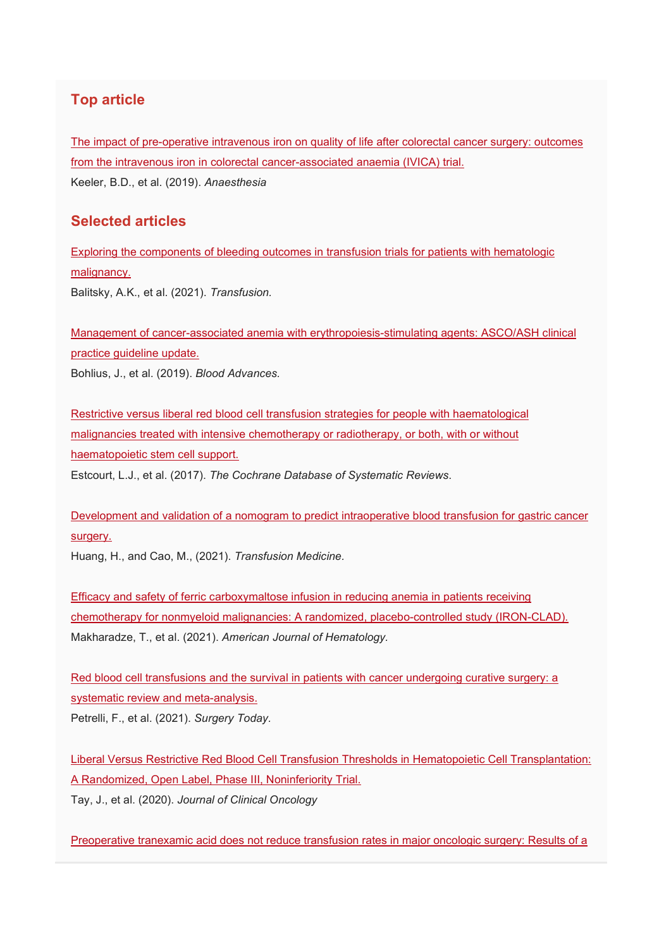## Top article

The impact of pre-operative intravenous iron on quality of life after colorectal cancer surgery: outcomes from the intravenous iron in colorectal cancer-associated anaemia (IVICA) trial. Keeler, B.D., et al. (2019). Anaesthesia

### Selected articles

Exploring the components of bleeding outcomes in transfusion trials for patients with hematologic malignancy. Balitsky, A.K., et al. (2021). Transfusion.

Management of cancer-associated anemia with erythropoiesis-stimulating agents: ASCO/ASH clinical practice guideline update. Bohlius, J., et al. (2019). Blood Advances.

Restrictive versus liberal red blood cell transfusion strategies for people with haematological malignancies treated with intensive chemotherapy or radiotherapy, or both, with or without haematopoietic stem cell support.

Estcourt, L.J., et al. (2017). The Cochrane Database of Systematic Reviews.

Development and validation of a nomogram to predict intraoperative blood transfusion for gastric cancer surgery.

Huang, H., and Cao, M., (2021). Transfusion Medicine.

Efficacy and safety of ferric carboxymaltose infusion in reducing anemia in patients receiving chemotherapy for nonmyeloid malignancies: A randomized, placebo-controlled study (IRON-CLAD). Makharadze, T., et al. (2021). American Journal of Hematology.

Red blood cell transfusions and the survival in patients with cancer undergoing curative surgery: a systematic review and meta-analysis.

Petrelli, F., et al. (2021). Surgery Today.

Liberal Versus Restrictive Red Blood Cell Transfusion Thresholds in Hematopoietic Cell Transplantation: A Randomized, Open Label, Phase III, Noninferiority Trial. Tay, J., et al. (2020). Journal of Clinical Oncology

Preoperative tranexamic acid does not reduce transfusion rates in major oncologic surgery: Results of a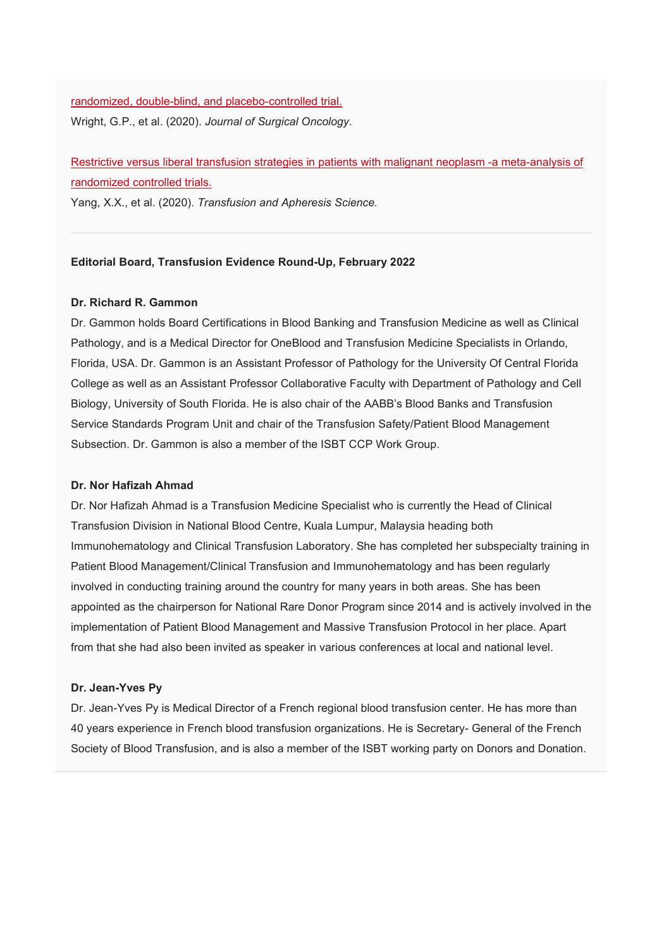#### randomized, double-blind, and placebo-controlled trial.

Wright, G.P., et al. (2020). Journal of Surgical Oncology.

Restrictive versus liberal transfusion strategies in patients with malignant neoplasm -a meta-analysis of randomized controlled trials.

Yang, X.X., et al. (2020). Transfusion and Apheresis Science.

#### Editorial Board, Transfusion Evidence Round-Up, February 2022

#### Dr. Richard R. Gammon

Dr. Gammon holds Board Certifications in Blood Banking and Transfusion Medicine as well as Clinical Pathology, and is a Medical Director for OneBlood and Transfusion Medicine Specialists in Orlando, Florida, USA. Dr. Gammon is an Assistant Professor of Pathology for the University Of Central Florida College as well as an Assistant Professor Collaborative Faculty with Department of Pathology and Cell Biology, University of South Florida. He is also chair of the AABB's Blood Banks and Transfusion Service Standards Program Unit and chair of the Transfusion Safety/Patient Blood Management Subsection. Dr. Gammon is also a member of the ISBT CCP Work Group.

#### Dr. Nor Hafizah Ahmad

Dr. Nor Hafizah Ahmad is a Transfusion Medicine Specialist who is currently the Head of Clinical Transfusion Division in National Blood Centre, Kuala Lumpur, Malaysia heading both Immunohematology and Clinical Transfusion Laboratory. She has completed her subspecialty training in Patient Blood Management/Clinical Transfusion and Immunohematology and has been regularly involved in conducting training around the country for many years in both areas. She has been appointed as the chairperson for National Rare Donor Program since 2014 and is actively involved in the implementation of Patient Blood Management and Massive Transfusion Protocol in her place. Apart from that she had also been invited as speaker in various conferences at local and national level.

#### Dr. Jean-Yves Py

Dr. Jean-Yves Py is Medical Director of a French regional blood transfusion center. He has more than 40 years experience in French blood transfusion organizations. He is Secretary- General of the French Society of Blood Transfusion, and is also a member of the ISBT working party on Donors and Donation.